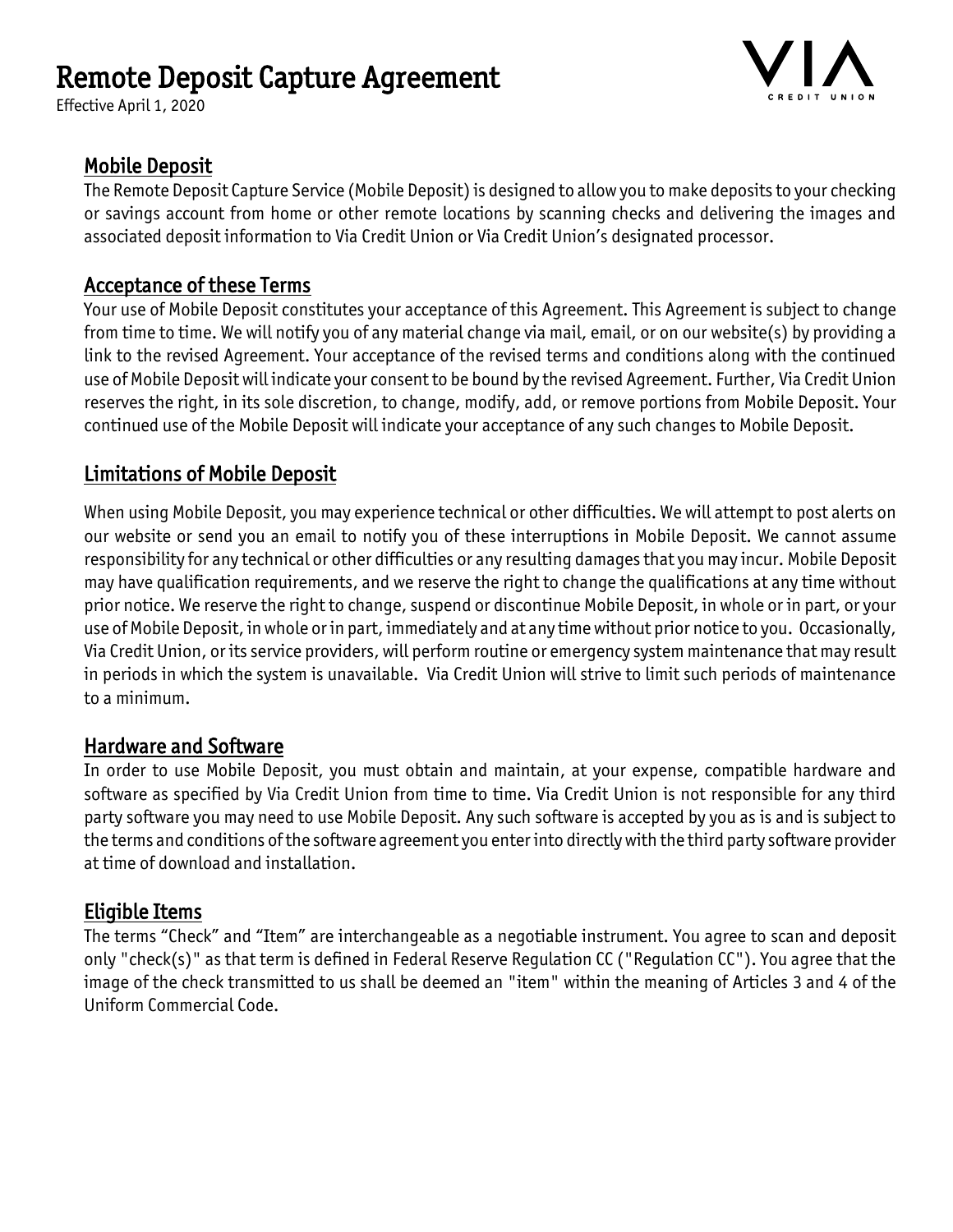# Remote Deposit Capture Agreement

Effective April 1, 2020



#### Mobile Deposit

The Remote Deposit Capture Service (Mobile Deposit) is designed to allow you to make deposits to your checking or savings account from home or other remote locations by scanning checks and delivering the images and associated deposit information to Via Credit Union or Via Credit Union's designated processor.

#### Acceptance of these Terms

Your use of Mobile Deposit constitutes your acceptance of this Agreement. This Agreement is subject to change from time to time. We will notify you of any material change via mail, email, or on our website(s) by providing a link to the revised Agreement. Your acceptance of the revised terms and conditions along with the continued use of Mobile Deposit will indicate your consent to be bound by the revised Agreement. Further, Via Credit Union reserves the right, in its sole discretion, to change, modify, add, or remove portions from Mobile Deposit. Your continued use of the Mobile Deposit will indicate your acceptance of any such changes to Mobile Deposit.

## Limitations of Mobile Deposit

When using Mobile Deposit, you may experience technical or other difficulties. We will attempt to post alerts on our website or send you an email to notify you of these interruptions in Mobile Deposit. We cannot assume responsibility for any technical or other difficulties or any resulting damages that you may incur. Mobile Deposit may have qualification requirements, and we reserve the right to change the qualifications at any time without prior notice. We reserve the right to change, suspend or discontinue Mobile Deposit, in whole or in part, or your use of Mobile Deposit, in whole or in part, immediately and at any time without prior notice to you. Occasionally, Via Credit Union, or its service providers, will perform routine or emergency system maintenance that may result in periods in which the system is unavailable. Via Credit Union will strive to limit such periods of maintenance to a minimum.

#### Hardware and Software

In order to use Mobile Deposit, you must obtain and maintain, at your expense, compatible hardware and software as specified by Via Credit Union from time to time. Via Credit Union is not responsible for any third party software you may need to use Mobile Deposit. Any such software is accepted by you as is and is subject to the terms and conditions of the software agreement you enter into directly with the third party software provider at time of download and installation.

#### Eligible Items

The terms "Check" and "Item" are interchangeable as a negotiable instrument. You agree to scan and deposit only "check(s)" as that term is defined in Federal Reserve Regulation CC ("Regulation CC"). You agree that the image of the check transmitted to us shall be deemed an "item" within the meaning of Articles 3 and 4 of the Uniform Commercial Code.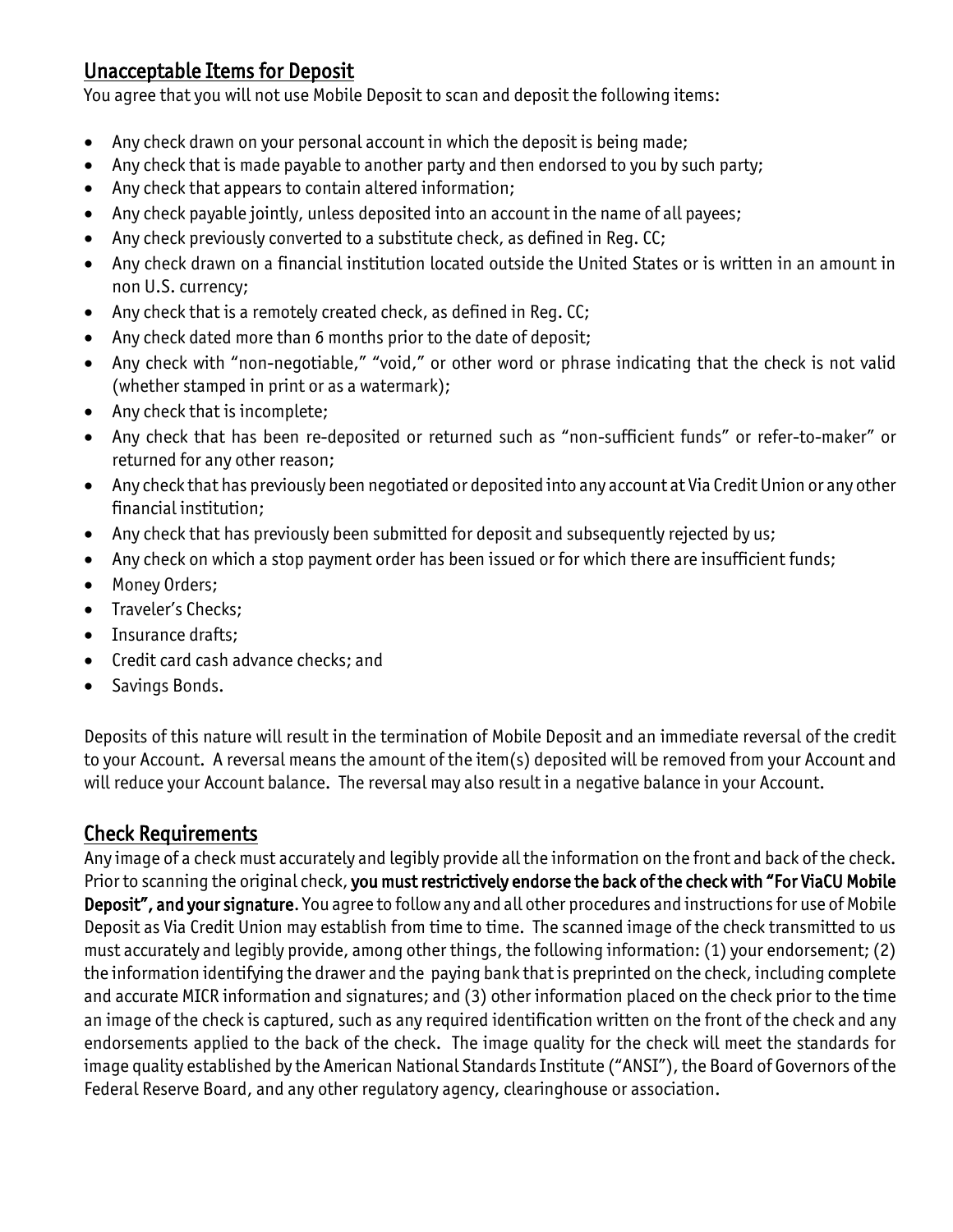## Unacceptable Items for Deposit

You agree that you will not use Mobile Deposit to scan and deposit the following items:

- Any check drawn on your personal account in which the deposit is being made;
- Any check that is made payable to another party and then endorsed to you by such party;
- Any check that appears to contain altered information;
- Any check payable jointly, unless deposited into an account in the name of all payees;
- Any check previously converted to a substitute check, as defined in Reg. CC;
- Any check drawn on a financial institution located outside the United States or is written in an amount in non U.S. currency;
- Any check that is a remotely created check, as defined in Reg. CC;
- Any check dated more than 6 months prior to the date of deposit;
- Any check with "non-negotiable," "void," or other word or phrase indicating that the check is not valid (whether stamped in print or as a watermark);
- Any check that is incomplete;
- Any check that has been re-deposited or returned such as "non-sufficient funds" or refer-to-maker" or returned for any other reason;
- Any check that has previously been negotiated or deposited into any account at Via Credit Union or any other financial institution;
- Any check that has previously been submitted for deposit and subsequently rejected by us;
- Any check on which a stop payment order has been issued or for which there are insufficient funds;
- Money Orders;
- Traveler's Checks:
- Insurance drafts;
- Credit card cash advance checks; and
- Savings Bonds.

Deposits of this nature will result in the termination of Mobile Deposit and an immediate reversal of the credit to your Account. A reversal means the amount of the item(s) deposited will be removed from your Account and will reduce your Account balance. The reversal may also result in a negative balance in your Account.

## Check Requirements

Any image of a check must accurately and legibly provide all the information on the front and back of the check. Prior to scanning the original check, you must restrictively endorse the back of the check with "For ViaCU Mobile Deposit", and your signature. You agree to follow any and all other procedures and instructions for use of Mobile Deposit as Via Credit Union may establish from time to time. The scanned image of the check transmitted to us must accurately and legibly provide, among other things, the following information: (1) your endorsement; (2) the information identifying the drawer and the paying bank that is preprinted on the check, including complete and accurate MICR information and signatures; and (3) other information placed on the check prior to the time an image of the check is captured, such as any required identification written on the front of the check and any endorsements applied to the back of the check. The image quality for the check will meet the standards for image quality established by the American National Standards Institute ("ANSI"), the Board of Governors of the Federal Reserve Board, and any other regulatory agency, clearinghouse or association.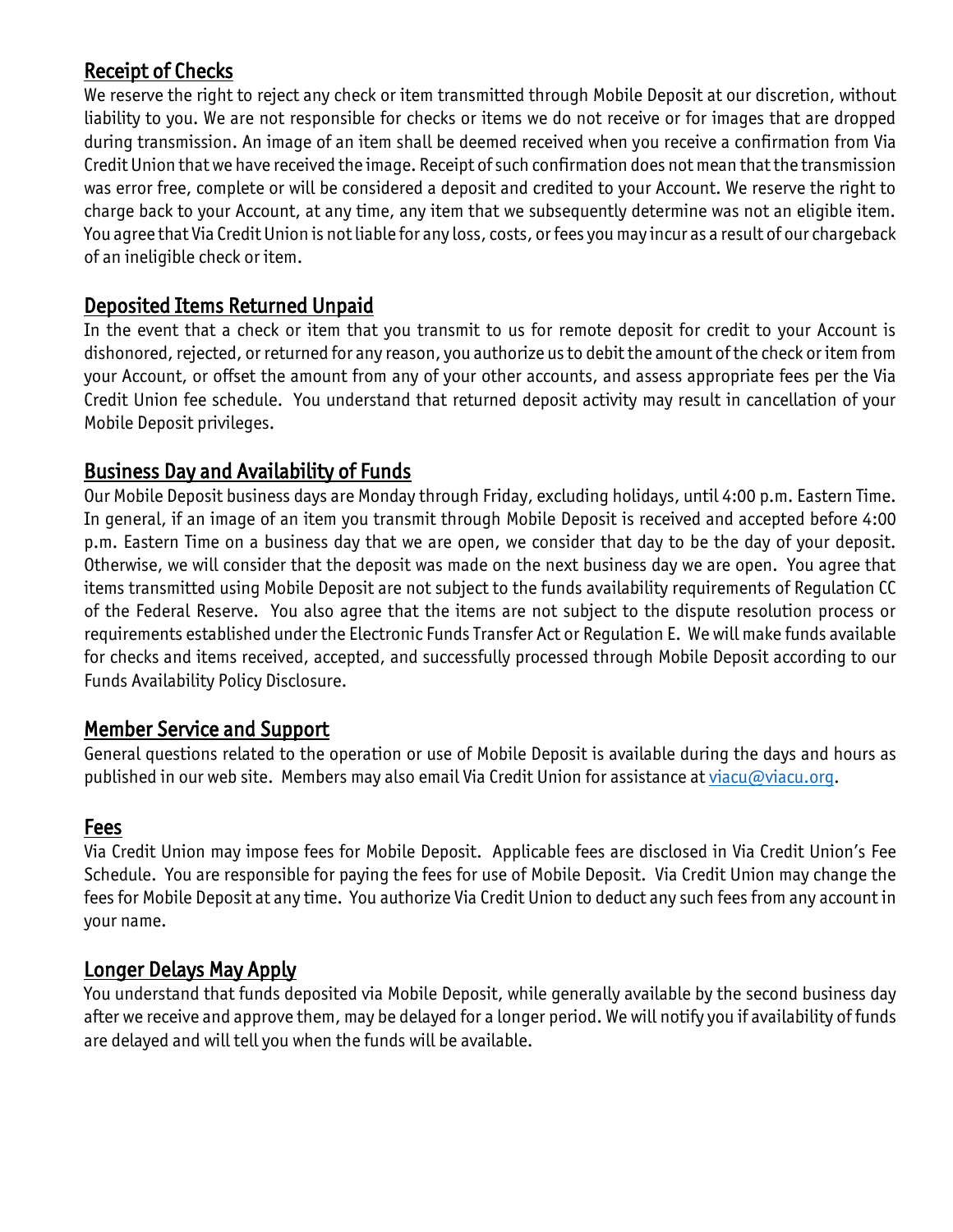## Receipt of Checks

We reserve the right to reject any check or item transmitted through Mobile Deposit at our discretion, without liability to you. We are not responsible for checks or items we do not receive or for images that are dropped during transmission. An image of an item shall be deemed received when you receive a confirmation from Via Credit Union that we have received the image. Receipt of such confirmation does not mean that the transmission was error free, complete or will be considered a deposit and credited to your Account. We reserve the right to charge back to your Account, at any time, any item that we subsequently determine was not an eligible item. You agree that Via Credit Union is not liable for any loss, costs, or fees you may incur as a result of our chargeback of an ineligible check or item.

#### Deposited Items Returned Unpaid

In the event that a check or item that you transmit to us for remote deposit for credit to your Account is dishonored, rejected, or returned for any reason, you authorize us to debit the amount of the check or item from your Account, or offset the amount from any of your other accounts, and assess appropriate fees per the Via Credit Union fee schedule. You understand that returned deposit activity may result in cancellation of your Mobile Deposit privileges.

## Business Day and Availability of Funds

Our Mobile Deposit business days are Monday through Friday, excluding holidays, until 4:00 p.m. Eastern Time. In general, if an image of an item you transmit through Mobile Deposit is received and accepted before 4:00 p.m. Eastern Time on a business day that we are open, we consider that day to be the day of your deposit. Otherwise, we will consider that the deposit was made on the next business day we are open. You agree that items transmitted using Mobile Deposit are not subject to the funds availability requirements of Regulation CC of the Federal Reserve. You also agree that the items are not subject to the dispute resolution process or requirements established under the Electronic Funds Transfer Act or Regulation E. We will make funds available for checks and items received, accepted, and successfully processed through Mobile Deposit according to our Funds Availability Policy Disclosure.

#### Member Service and Support

General questions related to the operation or use of Mobile Deposit is available during the days and hours as published in our web site. Members may also email Via Credit Union for assistance a[t viacu@viacu.org.](mailto:viacu@viacu.org)

#### Fees

Via Credit Union may impose fees for Mobile Deposit. Applicable fees are disclosed in Via Credit Union's Fee Schedule. You are responsible for paying the fees for use of Mobile Deposit. Via Credit Union may change the fees for Mobile Deposit at any time. You authorize Via Credit Union to deduct any such fees from any account in your name.

#### Longer Delays May Apply

You understand that funds deposited via Mobile Deposit, while generally available by the second business day after we receive and approve them, may be delayed for a longer period. We will notify you if availability of funds are delayed and will tell you when the funds will be available.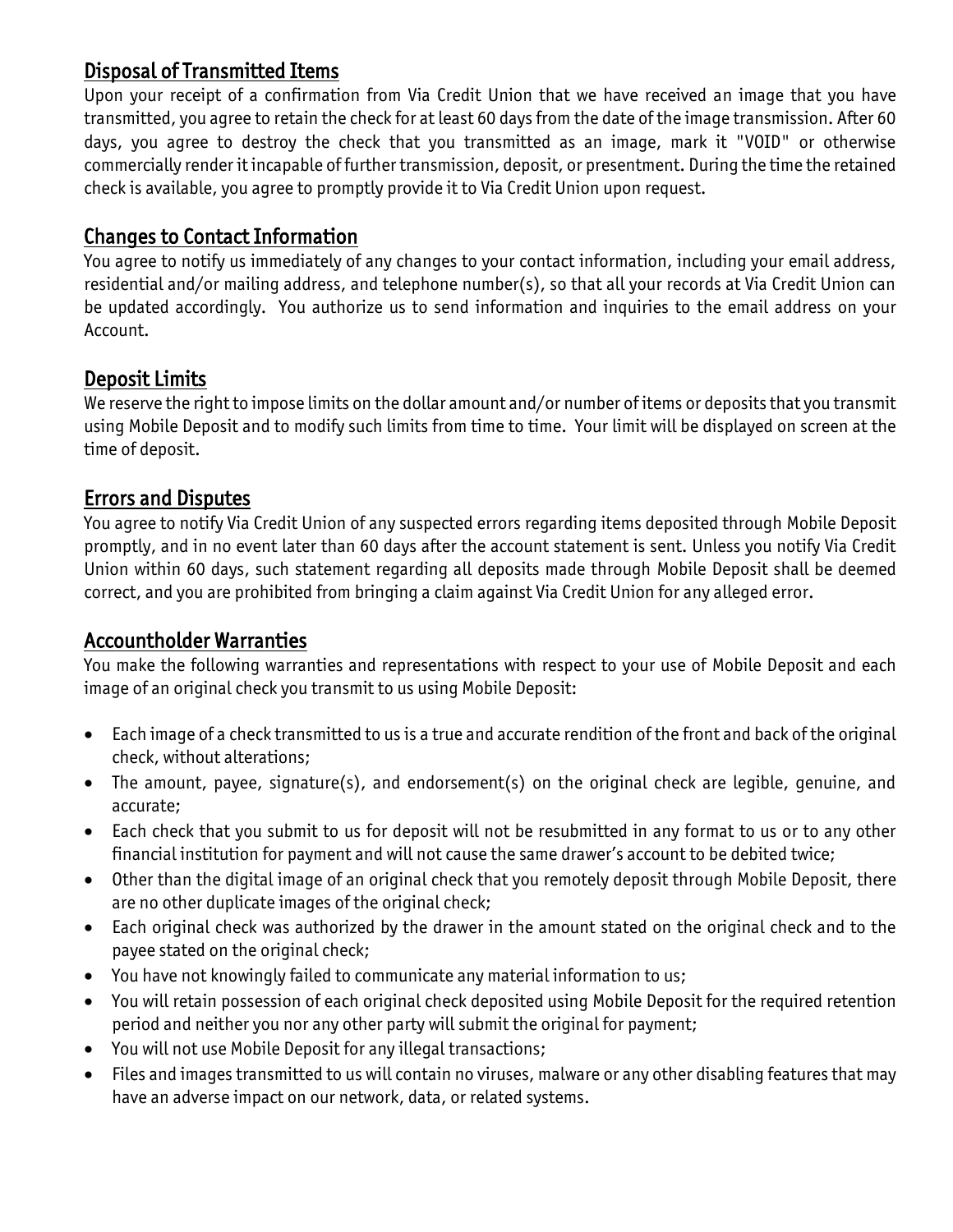## Disposal of Transmitted Items

Upon your receipt of a confirmation from Via Credit Union that we have received an image that you have transmitted, you agree to retain the check for at least 60 days from the date of the image transmission. After 60 days, you agree to destroy the check that you transmitted as an image, mark it "VOID" or otherwise commercially render it incapable of further transmission, deposit, or presentment. During the time the retained check is available, you agree to promptly provide it to Via Credit Union upon request.

## Changes to Contact Information

You agree to notify us immediately of any changes to your contact information, including your email address, residential and/or mailing address, and telephone number(s), so that all your records at Via Credit Union can be updated accordingly. You authorize us to send information and inquiries to the email address on your Account.

## Deposit Limits

We reserve the right to impose limits on the dollar amount and/or number of items or deposits that you transmit using Mobile Deposit and to modify such limits from time to time. Your limit will be displayed on screen at the time of deposit.

#### Errors and Disputes

You agree to notify Via Credit Union of any suspected errors regarding items deposited through Mobile Deposit promptly, and in no event later than 60 days after the account statement is sent. Unless you notify Via Credit Union within 60 days, such statement regarding all deposits made through Mobile Deposit shall be deemed correct, and you are prohibited from bringing a claim against Via Credit Union for any alleged error.

#### Accountholder Warranties

You make the following warranties and representations with respect to your use of Mobile Deposit and each image of an original check you transmit to us using Mobile Deposit:

- Each image of a check transmitted to us is a true and accurate rendition of the front and back of the original check, without alterations;
- The amount, payee, signature(s), and endorsement(s) on the original check are legible, genuine, and accurate;
- Each check that you submit to us for deposit will not be resubmitted in any format to us or to any other financial institution for payment and will not cause the same drawer's account to be debited twice;
- Other than the digital image of an original check that you remotely deposit through Mobile Deposit, there are no other duplicate images of the original check;
- Each original check was authorized by the drawer in the amount stated on the original check and to the payee stated on the original check;
- You have not knowingly failed to communicate any material information to us;
- You will retain possession of each original check deposited using Mobile Deposit for the required retention period and neither you nor any other party will submit the original for payment;
- You will not use Mobile Deposit for any illegal transactions;
- Files and images transmitted to us will contain no viruses, malware or any other disabling features that may have an adverse impact on our network, data, or related systems.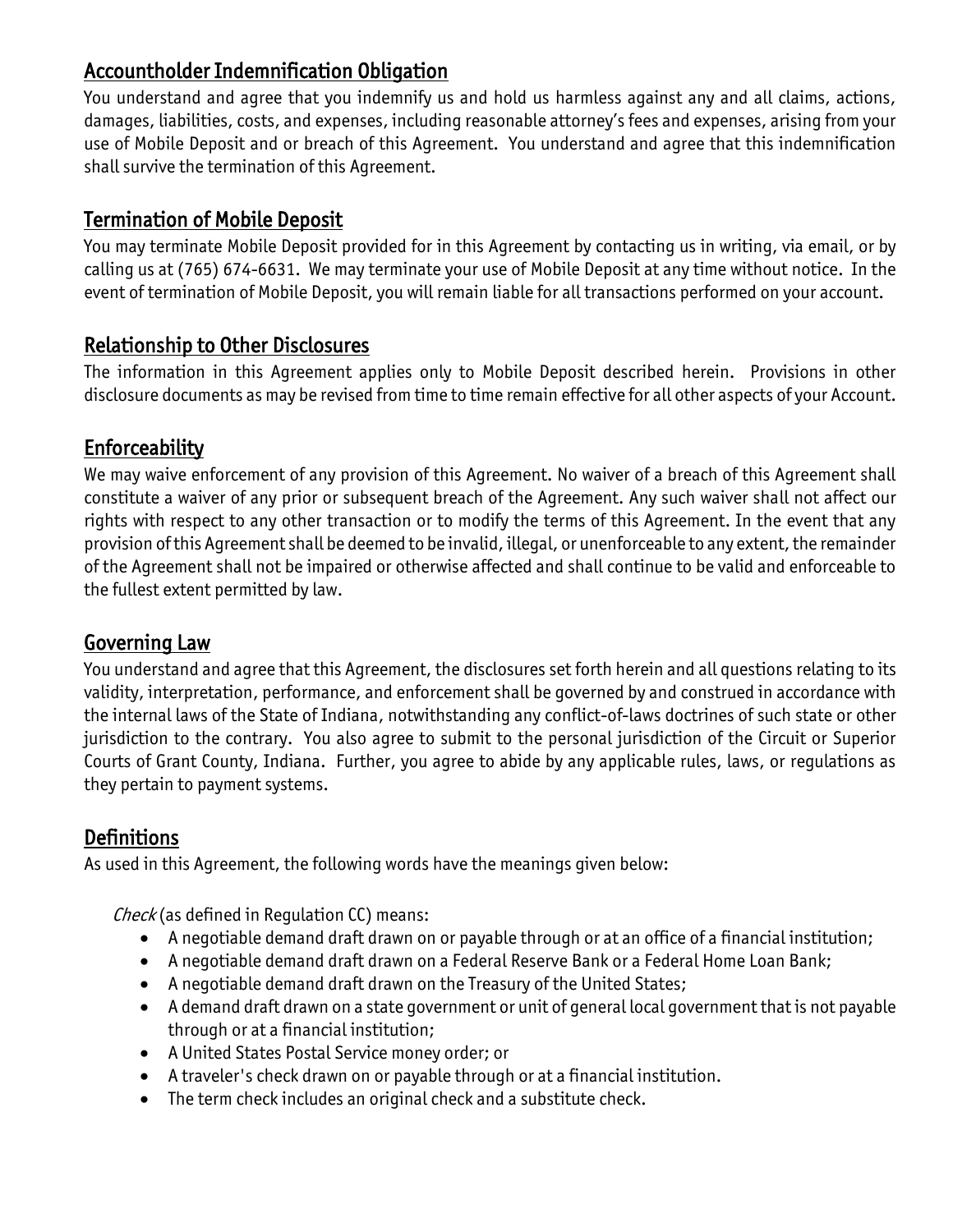## Accountholder Indemnification Obligation

You understand and agree that you indemnify us and hold us harmless against any and all claims, actions, damages, liabilities, costs, and expenses, including reasonable attorney's fees and expenses, arising from your use of Mobile Deposit and or breach of this Agreement. You understand and agree that this indemnification shall survive the termination of this Agreement.

## Termination of Mobile Deposit

You may terminate Mobile Deposit provided for in this Agreement by contacting us in writing, via email, or by calling us at (765) 674-6631. We may terminate your use of Mobile Deposit at any time without notice. In the event of termination of Mobile Deposit, you will remain liable for all transactions performed on your account.

## Relationship to Other Disclosures

The information in this Agreement applies only to Mobile Deposit described herein. Provisions in other disclosure documents as may be revised from time to time remain effective for all other aspects of your Account.

## Enforceability

We may waive enforcement of any provision of this Agreement. No waiver of a breach of this Agreement shall constitute a waiver of any prior or subsequent breach of the Agreement. Any such waiver shall not affect our rights with respect to any other transaction or to modify the terms of this Agreement. In the event that any provision of this Agreement shall be deemed to be invalid, illegal, or unenforceable to any extent, the remainder of the Agreement shall not be impaired or otherwise affected and shall continue to be valid and enforceable to the fullest extent permitted by law.

## Governing Law

You understand and agree that this Agreement, the disclosures set forth herein and all questions relating to its validity, interpretation, performance, and enforcement shall be governed by and construed in accordance with the internal laws of the State of Indiana, notwithstanding any conflict-of-laws doctrines of such state or other jurisdiction to the contrary. You also agree to submit to the personal jurisdiction of the Circuit or Superior Courts of Grant County, Indiana. Further, you agree to abide by any applicable rules, laws, or regulations as they pertain to payment systems.

# **Definitions**

As used in this Agreement, the following words have the meanings given below:

Check (as defined in Requlation CC) means:

- A negotiable demand draft drawn on or payable through or at an office of a financial institution;
- A negotiable demand draft drawn on a Federal Reserve Bank or a Federal Home Loan Bank;
- A negotiable demand draft drawn on the Treasury of the United States;
- A demand draft drawn on a state government or unit of general local government that is not payable through or at a financial institution;
- A United States Postal Service money order; or
- A traveler's check drawn on or payable through or at a financial institution.
- The term check includes an original check and a substitute check.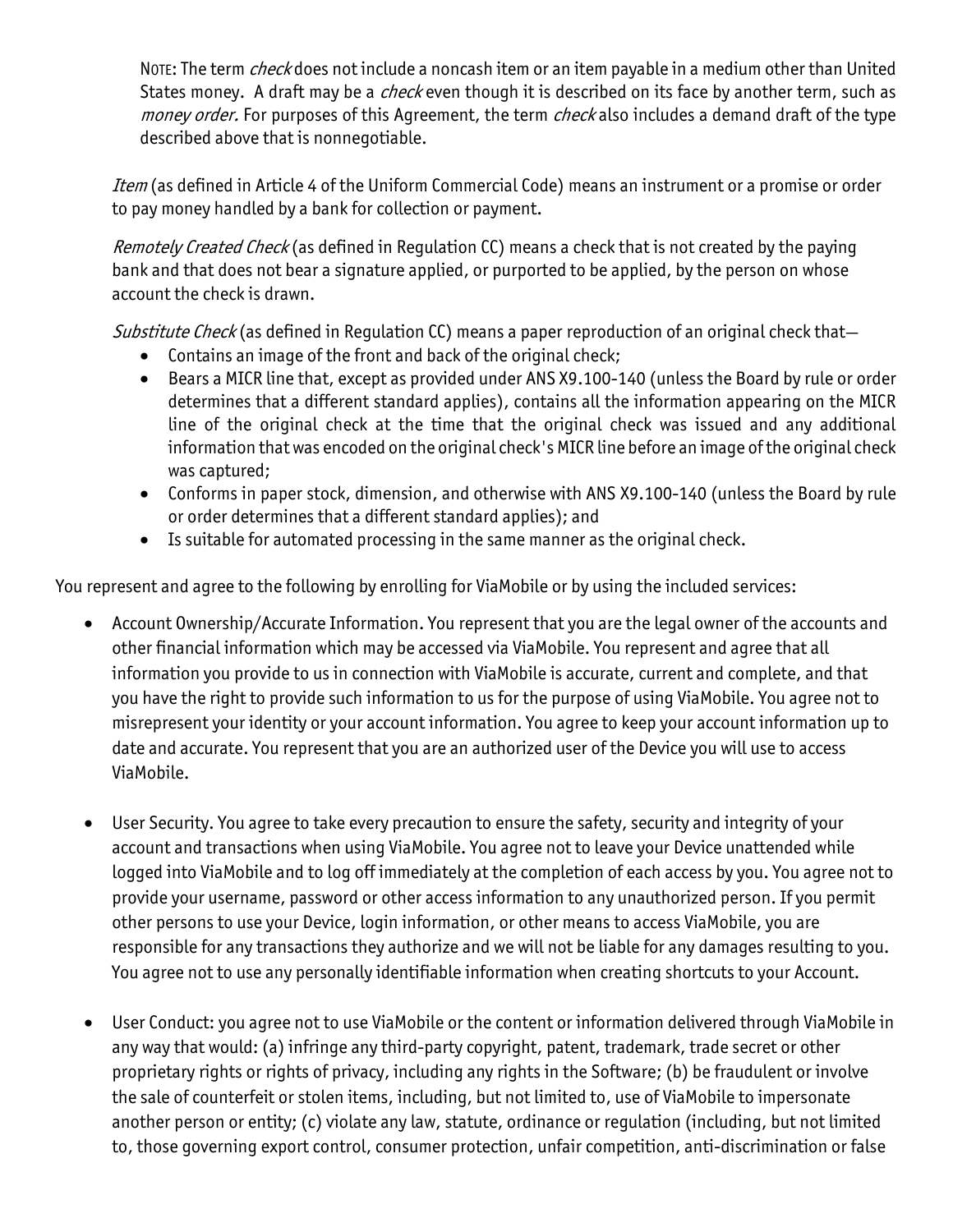NOTE: The term *check* does not include a noncash item or an item payable in a medium other than United States money. A draft may be a *check* even though it is described on its face by another term, such as money order. For purposes of this Agreement, the term check also includes a demand draft of the type described above that is nonnegotiable.

Item (as defined in Article 4 of the Uniform Commercial Code) means an instrument or a promise or order to pay money handled by a [bank](http://www.law.cornell.edu/ucc/4/4-105#Bank) for collection or payment.

Remotely Created Check (as defined in Regulation CC) means a check that is not created by the paying bank and that does not bear a signature applied, or purported to be applied, by the person on whose account the check is drawn.

Substitute Check (as defined in Regulation CC) means a paper reproduction of an original check that—

- Contains an image of the front and back of the original check;
- Bears a MICR line that, except as provided under ANS X9.100-140 (unless the Board by rule or order determines that a different standard applies), contains all the information appearing on the MICR line of the original check at the time that the original check was issued and any additional information that was encoded on the original check's MICR line before an image of the original check was captured;
- Conforms in paper stock, dimension, and otherwise with ANS X9.100-140 (unless the Board by rule or order determines that a different standard applies); and
- Is suitable for automated processing in the same manner as the original check.

You represent and agree to the following by enrolling for ViaMobile or by using the included services:

- Account Ownership/Accurate Information. You represent that you are the legal owner of the accounts and other financial information which may be accessed via ViaMobile. You represent and agree that all information you provide to us in connection with ViaMobile is accurate, current and complete, and that you have the right to provide such information to us for the purpose of using ViaMobile. You agree not to misrepresent your identity or your account information. You agree to keep your account information up to date and accurate. You represent that you are an authorized user of the Device you will use to access ViaMobile.
- User Security. You agree to take every precaution to ensure the safety, security and integrity of your account and transactions when using ViaMobile. You agree not to leave your Device unattended while logged into ViaMobile and to log off immediately at the completion of each access by you. You agree not to provide your username, password or other access information to any unauthorized person. If you permit other persons to use your Device, login information, or other means to access ViaMobile, you are responsible for any transactions they authorize and we will not be liable for any damages resulting to you. You agree not to use any personally identifiable information when creating shortcuts to your Account.
- User Conduct: you agree not to use ViaMobile or the content or information delivered through ViaMobile in any way that would: (a) infringe any third-party copyright, patent, trademark, trade secret or other proprietary rights or rights of privacy, including any rights in the Software; (b) be fraudulent or involve the sale of counterfeit or stolen items, including, but not limited to, use of ViaMobile to impersonate another person or entity; (c) violate any law, statute, ordinance or regulation (including, but not limited to, those governing export control, consumer protection, unfair competition, anti-discrimination or false